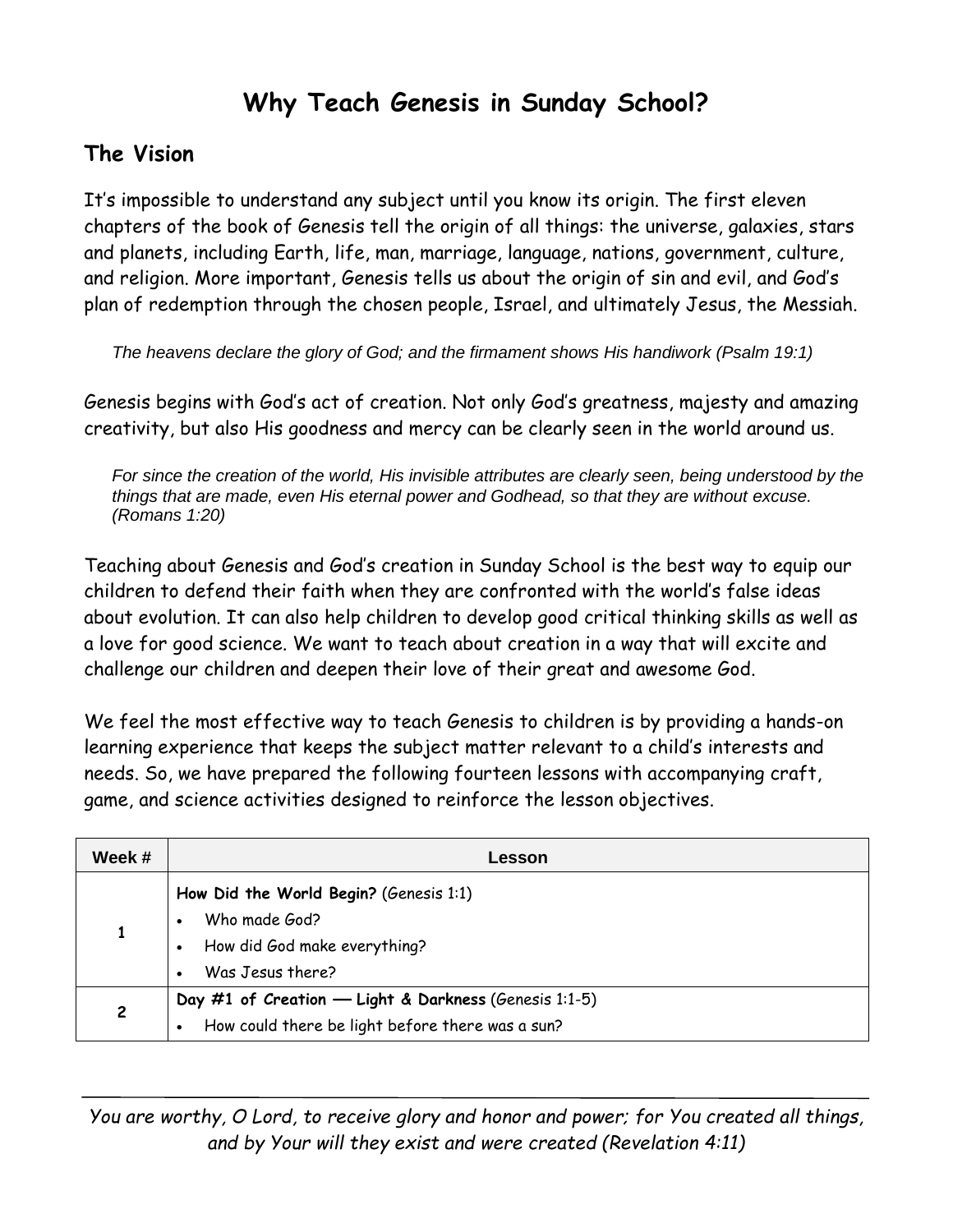# **Why Teach Genesis in Sunday School?**

#### **The Vision**

It's impossible to understand any subject until you know its origin. The first eleven chapters of the book of Genesis tell the origin of all things: the universe, galaxies, stars and planets, including Earth, life, man, marriage, language, nations, government, culture, and religion. More important, Genesis tells us about the origin of sin and evil, and God's plan of redemption through the chosen people, Israel, and ultimately Jesus, the Messiah.

*The heavens declare the glory of God; and the firmament shows His handiwork (Psalm 19:1)*

Genesis begins with God's act of creation. Not only God's greatness, majesty and amazing creativity, but also His goodness and mercy can be clearly seen in the world around us.

*For since the creation of the world, His invisible attributes are clearly seen, being understood by the things that are made, even His eternal power and Godhead, so that they are without excuse. (Romans 1:20)*

Teaching about Genesis and God's creation in Sunday School is the best way to equip our children to defend their faith when they are confronted with the world's false ideas about evolution. It can also help children to develop good critical thinking skills as well as a love for good science. We want to teach about creation in a way that will excite and challenge our children and deepen their love of their great and awesome God.

We feel the most effective way to teach Genesis to children is by providing a hands-on learning experience that keeps the subject matter relevant to a child's interests and needs. So, we have prepared the following fourteen lessons with accompanying craft, game, and science activities designed to reinforce the lesson objectives.

| Week # | Lesson                                                                                                                   |
|--------|--------------------------------------------------------------------------------------------------------------------------|
|        | How Did the World Begin? (Genesis 1:1)<br>Who made God?<br>How did God make everything?<br>Was Jesus there?<br>$\bullet$ |
| 2      | Day #1 of Creation - Light & Darkness (Genesis 1:1-5)<br>How could there be light before there was a sun?                |

*You are worthy, O Lord, to receive glory and honor and power; for You created all things, and by Your will they exist and were created (Revelation 4:11)*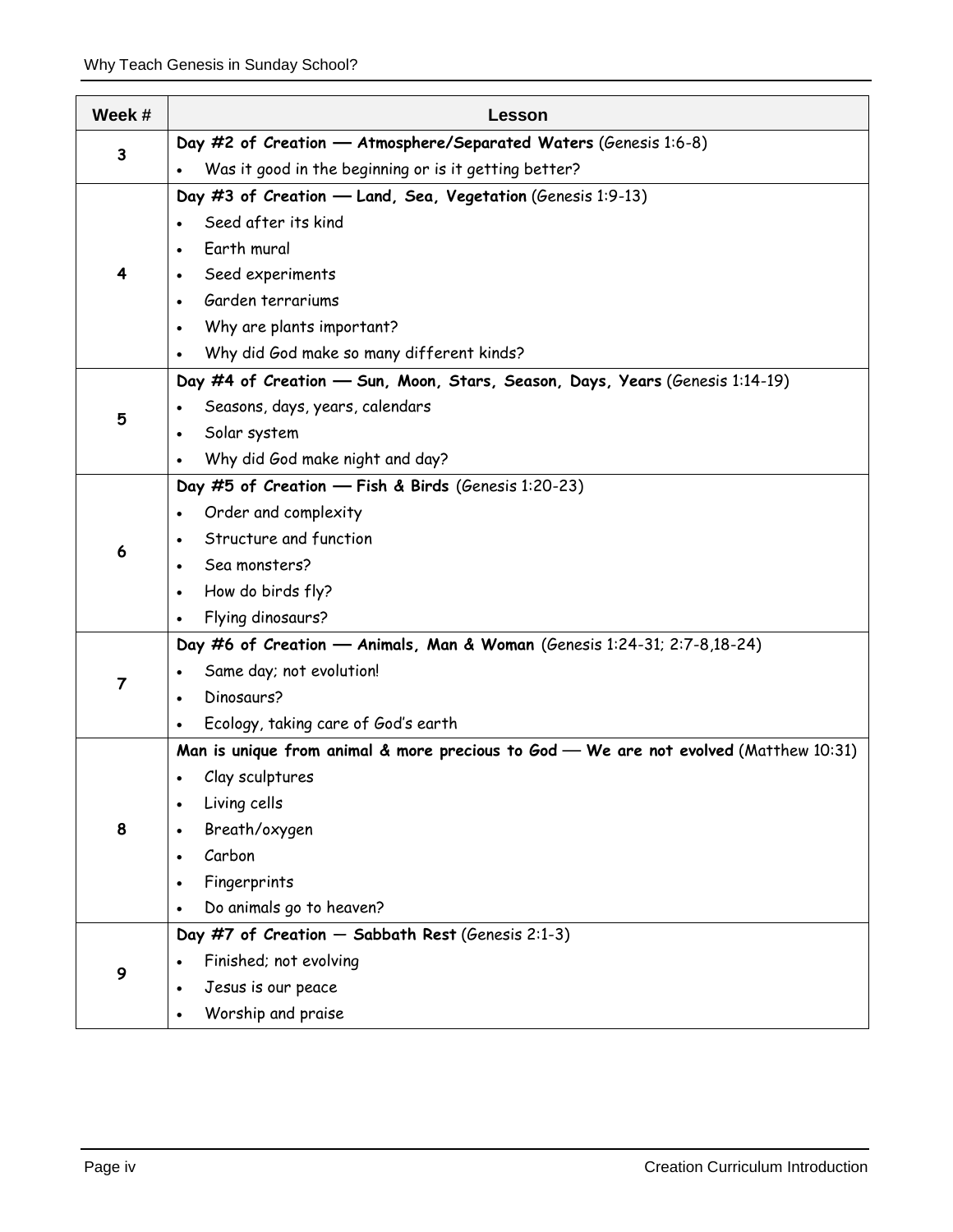| Week #         | Lesson                                                                                |
|----------------|---------------------------------------------------------------------------------------|
| $\mathbf{3}$   | Day #2 of Creation - Atmosphere/Separated Waters (Genesis 1:6-8)                      |
|                | Was it good in the beginning or is it getting better?                                 |
| 4              | Day #3 of Creation - Land, Sea, Vegetation (Genesis 1:9-13)                           |
|                | Seed after its kind                                                                   |
|                | Earth mural                                                                           |
|                | Seed experiments                                                                      |
|                | Garden terrariums<br>$\bullet$                                                        |
|                | Why are plants important?                                                             |
|                | Why did God make so many different kinds?                                             |
|                | Day #4 of Creation - Sun, Moon, Stars, Season, Days, Years (Genesis 1:14-19)          |
|                | Seasons, days, years, calendars                                                       |
| 5              | Solar system<br>$\bullet$                                                             |
|                | Why did God make night and day?                                                       |
|                | Day #5 of Creation - Fish & Birds (Genesis 1:20-23)                                   |
|                | Order and complexity                                                                  |
| 6              | Structure and function                                                                |
|                | Sea monsters?                                                                         |
|                | How do birds fly?<br>$\bullet$                                                        |
|                | Flying dinosaurs?<br>$\bullet$                                                        |
| $\overline{7}$ | Day #6 of Creation - Animals, Man & Woman (Genesis 1:24-31; 2:7-8,18-24)              |
|                | Same day; not evolution!                                                              |
|                | Dinosaurs?                                                                            |
|                | Ecology, taking care of God's earth                                                   |
|                | Man is unique from animal & more precious to God - We are not evolved (Matthew 10:31) |
|                | Clay sculptures                                                                       |
|                | Living cells                                                                          |
| 8              | Breath/oxygen                                                                         |
|                | Carbon                                                                                |
|                | Fingerprints                                                                          |
|                | Do animals go to heaven?                                                              |
| 9              | Day #7 of Creation - Sabbath Rest (Genesis 2:1-3)                                     |
|                | Finished; not evolving                                                                |
|                | Jesus is our peace                                                                    |
|                | Worship and praise                                                                    |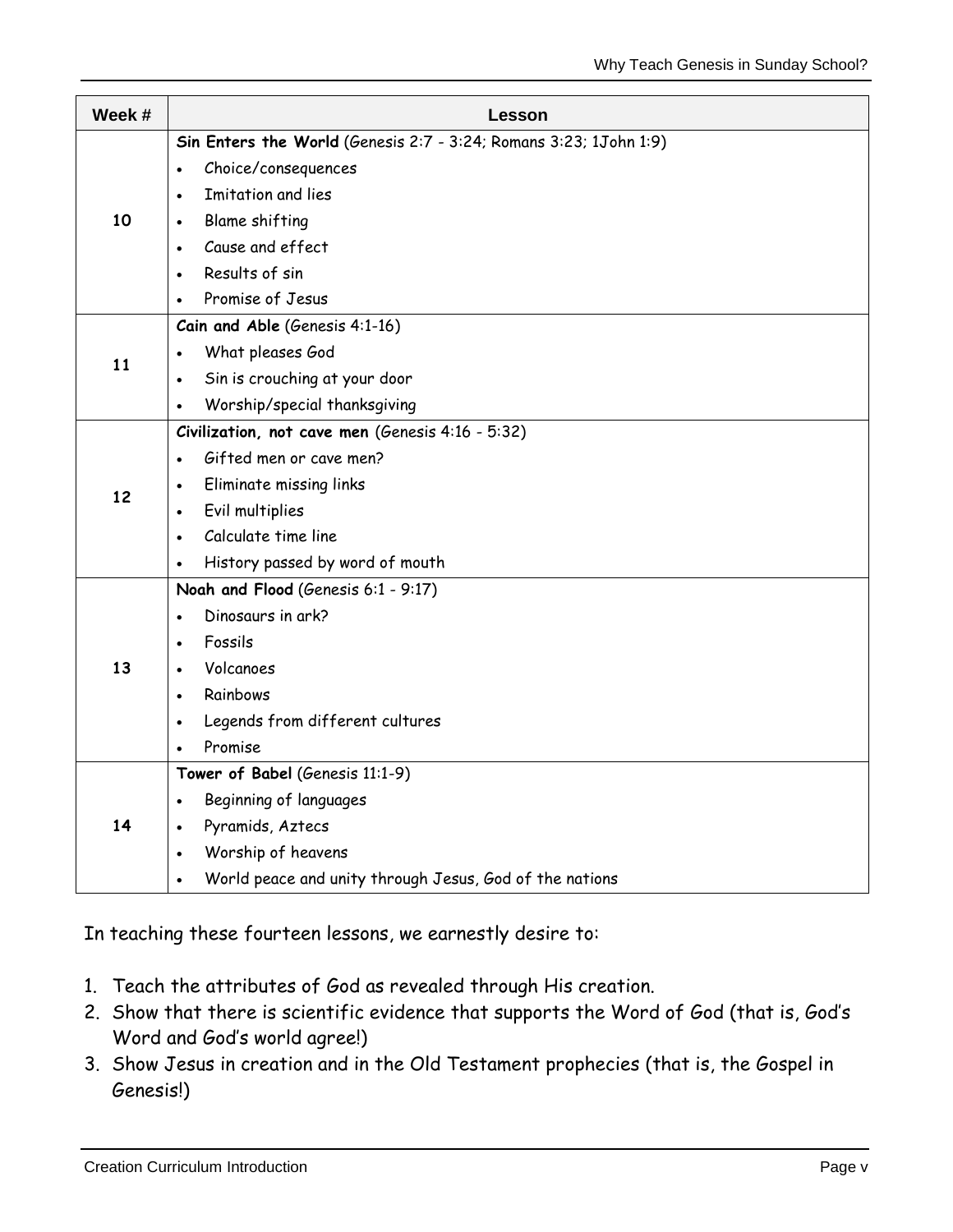| Week # | Lesson                                                            |
|--------|-------------------------------------------------------------------|
| 10     | Sin Enters the World (Genesis 2:7 - 3:24; Romans 3:23; 1John 1:9) |
|        | Choice/consequences<br>$\bullet$                                  |
|        | Imitation and lies<br>$\bullet$                                   |
|        | <b>Blame shifting</b><br>$\bullet$                                |
|        | Cause and effect<br>$\bullet$                                     |
|        | Results of sin<br>$\bullet$                                       |
|        | Promise of Jesus                                                  |
| 11     | Cain and Able (Genesis 4:1-16)                                    |
|        | What pleases God<br>$\bullet$                                     |
|        | Sin is crouching at your door<br>$\bullet$                        |
|        | Worship/special thanksgiving<br>$\bullet$                         |
|        | Civilization, not cave men (Genesis 4:16 - 5:32)                  |
|        | Gifted men or cave men?<br>$\bullet$                              |
| 12     | Eliminate missing links<br>$\bullet$                              |
|        | Evil multiplies<br>$\bullet$                                      |
|        | Calculate time line<br>$\bullet$                                  |
|        | History passed by word of mouth                                   |
|        | Noah and Flood (Genesis 6:1 - 9:17)                               |
|        | Dinosaurs in ark?<br>$\bullet$                                    |
|        | Fossils<br>$\bullet$                                              |
| 13     | Volcanoes<br>$\bullet$                                            |
|        | Rainbows<br>$\bullet$                                             |
|        | Legends from different cultures                                   |
|        | Promise                                                           |
| 14     | Tower of Babel (Genesis 11:1-9)                                   |
|        | Beginning of languages<br>$\bullet$                               |
|        | Pyramids, Aztecs<br>$\bullet$                                     |
|        | Worship of heavens<br>$\bullet$                                   |
|        | World peace and unity through Jesus, God of the nations           |

In teaching these fourteen lessons, we earnestly desire to:

- 1. Teach the attributes of God as revealed through His creation.
- 2. Show that there is scientific evidence that supports the Word of God (that is, God's Word and God's world agree!)
- 3. Show Jesus in creation and in the Old Testament prophecies (that is, the Gospel in Genesis!)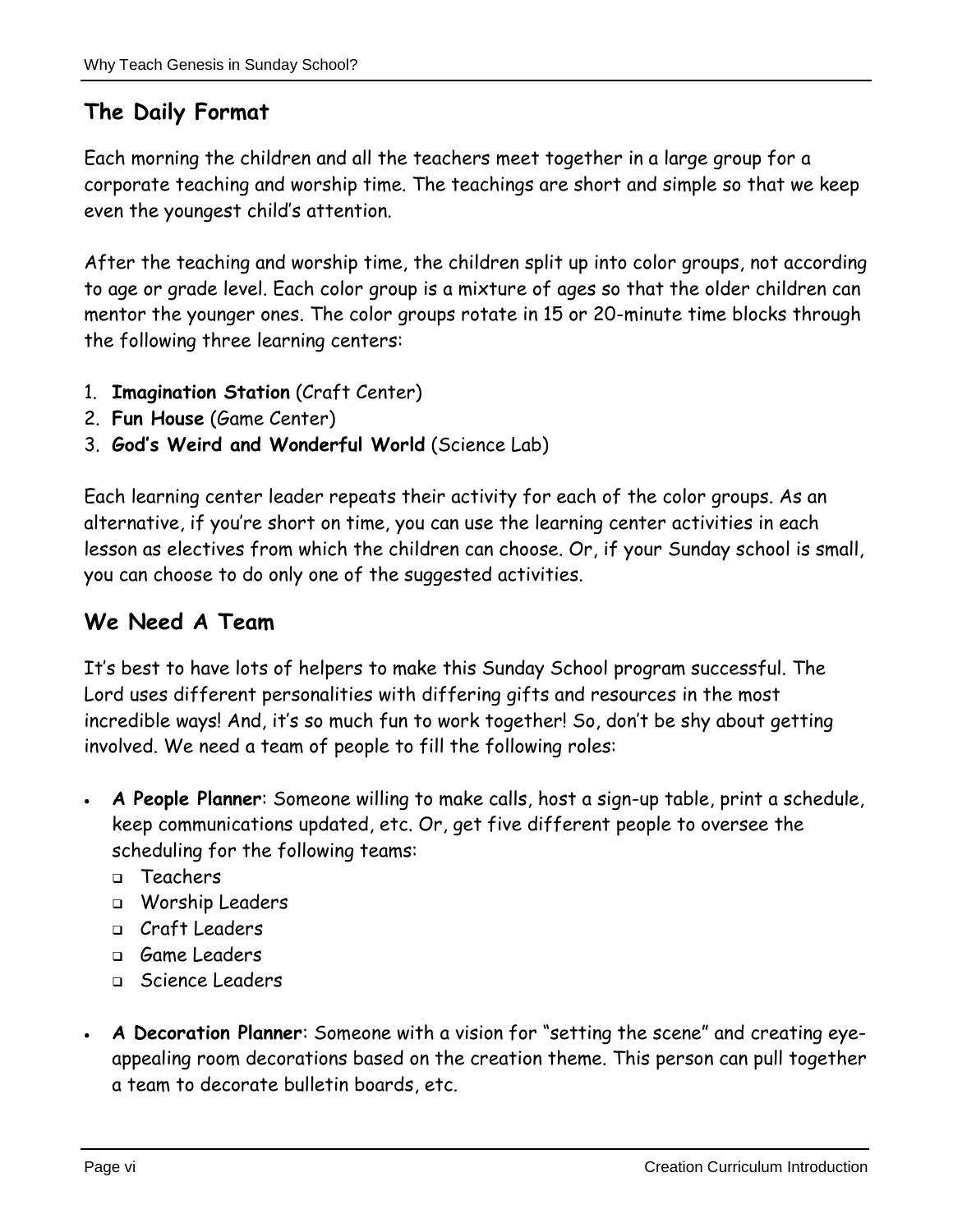## **The Daily Format**

Each morning the children and all the teachers meet together in a large group for a corporate teaching and worship time. The teachings are short and simple so that we keep even the youngest child's attention.

After the teaching and worship time, the children split up into color groups, not according to age or grade level. Each color group is a mixture of ages so that the older children can mentor the younger ones. The color groups rotate in 15 or 20-minute time blocks through the following three learning centers:

- 1. **Imagination Station** (Craft Center)
- 2. **Fun House** (Game Center)
- 3. **God's Weird and Wonderful World** (Science Lab)

Each learning center leader repeats their activity for each of the color groups. As an alternative, if you're short on time, you can use the learning center activities in each lesson as electives from which the children can choose. Or, if your Sunday school is small, you can choose to do only one of the suggested activities.

#### **We Need A Team**

It's best to have lots of helpers to make this Sunday School program successful. The Lord uses different personalities with differing gifts and resources in the most incredible ways! And, it's so much fun to work together! So, don't be shy about getting involved. We need a team of people to fill the following roles:

- **A People Planner**: Someone willing to make calls, host a sign-up table, print a schedule, keep communications updated, etc. Or, get five different people to oversee the scheduling for the following teams:
	- Teachers
	- Worship Leaders
	- Craft Leaders
	- Game Leaders
	- Science Leaders
- **A Decoration Planner**: Someone with a vision for "setting the scene" and creating eyeappealing room decorations based on the creation theme. This person can pull together a team to decorate bulletin boards, etc.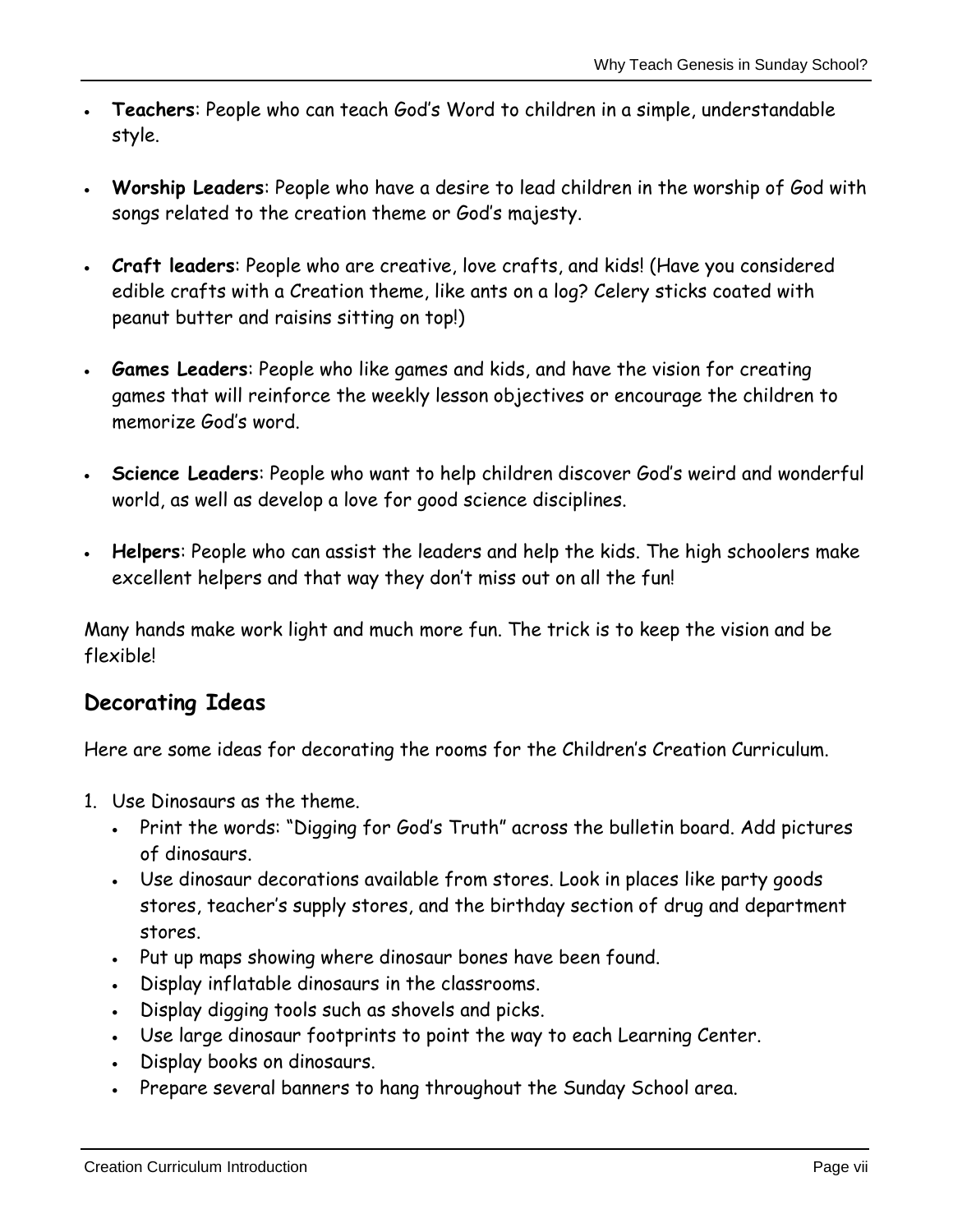- **Teachers**: People who can teach God's Word to children in a simple, understandable style.
- **Worship Leaders**: People who have a desire to lead children in the worship of God with songs related to the creation theme or God's majesty.
- **Craft leaders**: People who are creative, love crafts, and kids! (Have you considered edible crafts with a Creation theme, like ants on a log? Celery sticks coated with peanut butter and raisins sitting on top!)
- **Games Leaders**: People who like games and kids, and have the vision for creating games that will reinforce the weekly lesson objectives or encourage the children to memorize God's word.
- **Science Leaders**: People who want to help children discover God's weird and wonderful world, as well as develop a love for good science disciplines.
- **Helpers**: People who can assist the leaders and help the kids. The high schoolers make excellent helpers and that way they don't miss out on all the fun!

Many hands make work light and much more fun. The trick is to keep the vision and be flexible!

#### **Decorating Ideas**

Here are some ideas for decorating the rooms for the Children's Creation Curriculum.

- 1. Use Dinosaurs as the theme.
	- Print the words: "Digging for God's Truth" across the bulletin board. Add pictures of dinosaurs.
	- Use dinosaur decorations available from stores. Look in places like party goods stores, teacher's supply stores, and the birthday section of drug and department stores.
	- Put up maps showing where dinosaur bones have been found.
	- Display inflatable dinosaurs in the classrooms.
	- Display digging tools such as shovels and picks.
	- Use large dinosaur footprints to point the way to each Learning Center.
	- Display books on dinosaurs.
	- Prepare several banners to hang throughout the Sunday School area.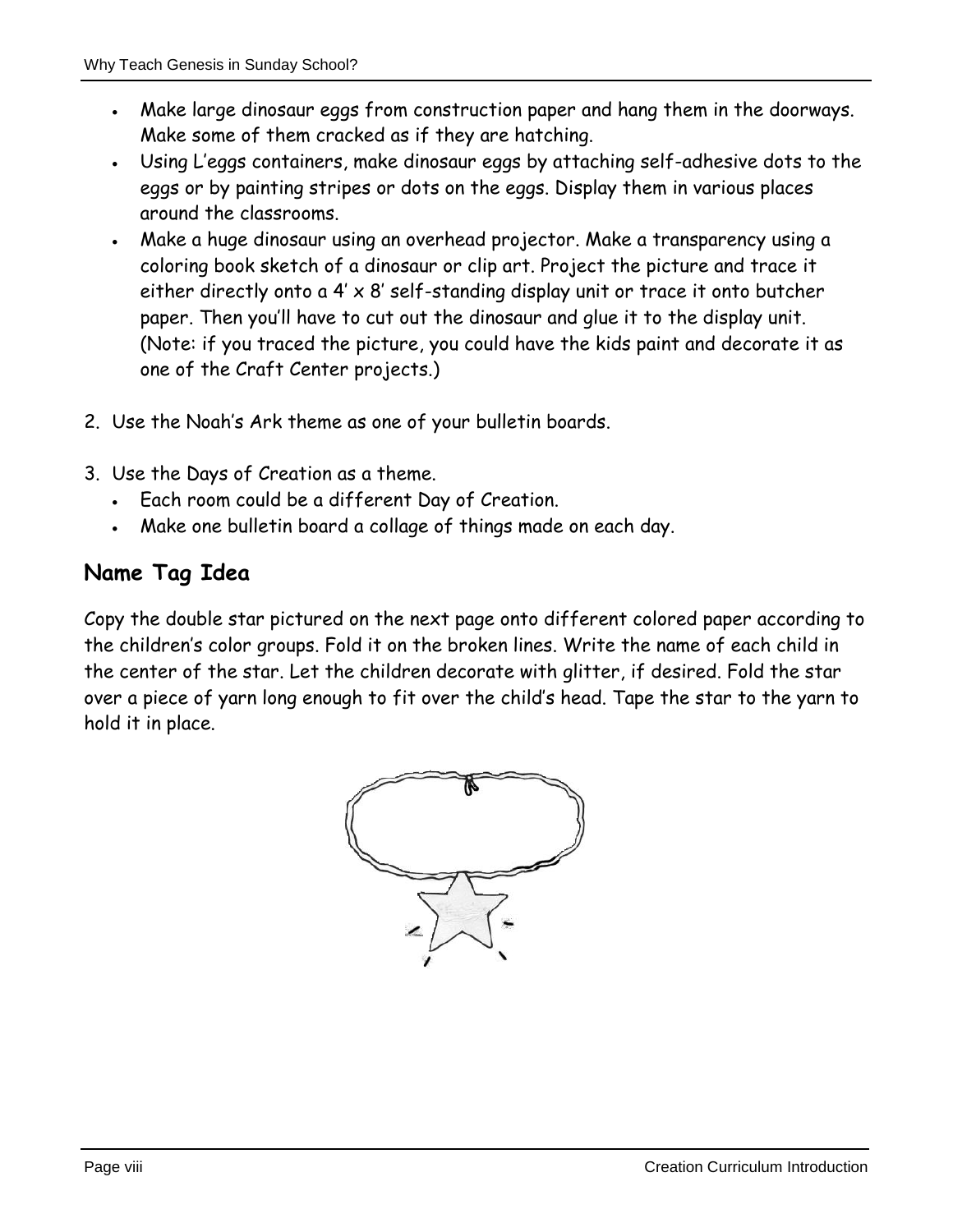- Make large dinosaur eggs from construction paper and hang them in the doorways. Make some of them cracked as if they are hatching.
- Using L'eggs containers, make dinosaur eggs by attaching self-adhesive dots to the eggs or by painting stripes or dots on the eggs. Display them in various places around the classrooms.
- Make a huge dinosaur using an overhead projector. Make a transparency using a coloring book sketch of a dinosaur or clip art. Project the picture and trace it either directly onto a 4' x 8' self-standing display unit or trace it onto butcher paper. Then you'll have to cut out the dinosaur and glue it to the display unit. (Note: if you traced the picture, you could have the kids paint and decorate it as one of the Craft Center projects.)
- 2. Use the Noah's Ark theme as one of your bulletin boards.
- 3. Use the Days of Creation as a theme.
	- Each room could be a different Day of Creation.
	- Make one bulletin board a collage of things made on each day.

### **Name Tag Idea**

Copy the double star pictured on the next page onto different colored paper according to the children's color groups. Fold it on the broken lines. Write the name of each child in the center of the star. Let the children decorate with glitter, if desired. Fold the star over a piece of yarn long enough to fit over the child's head. Tape the star to the yarn to hold it in place.